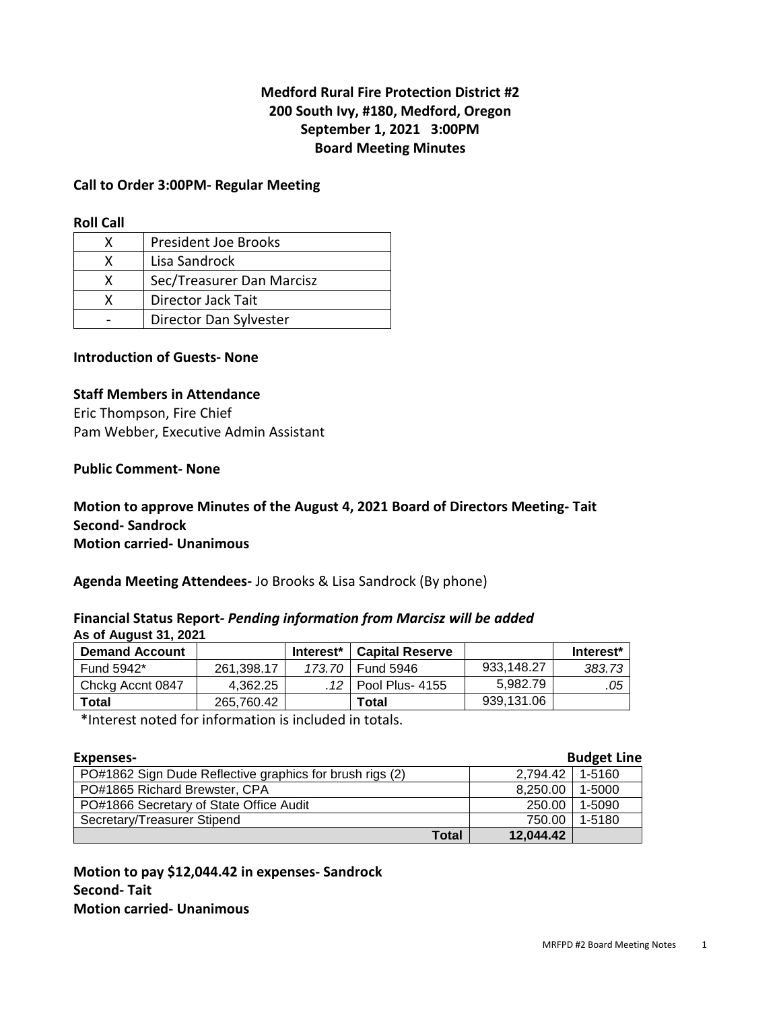# **Medford Rural Fire Protection District #2 200 South Ivy, #180, Medford, Oregon September 1, 2021 3:00PM Board Meeting Minutes**

#### **Call to Order 3:00PM- Regular Meeting**

#### **Roll Call**

| x | <b>President Joe Brooks</b> |
|---|-----------------------------|
| x | Lisa Sandrock               |
| X | Sec/Treasurer Dan Marcisz   |
| x | Director Jack Tait          |
|   | Director Dan Sylvester      |

### **Introduction of Guests- None**

#### **Staff Members in Attendance**

Eric Thompson, Fire Chief Pam Webber, Executive Admin Assistant

#### **Public Comment- None**

# **Motion to approve Minutes of the August 4, 2021 Board of Directors Meeting- Tait Second- Sandrock Motion carried- Unanimous**

**Agenda Meeting Attendees-** Jo Brooks & Lisa Sandrock (By phone)

#### **Financial Status Report***- Pending information from Marcisz will be added* **As of August 31, 2021**

| <b>Demand Account</b> |            | Interest <sup>*</sup> | l Capital Reserve |            | Interest <sup>*</sup> |
|-----------------------|------------|-----------------------|-------------------|------------|-----------------------|
| Fund 5942*            | 261.398.17 |                       | 173.70 Fund 5946  | 933.148.27 | 383.73                |
| Chckg Accnt 0847      | 4.362.25   |                       |                   | 5.982.79   | .05                   |
| Total                 | 265.760.42 |                       | Total             | 939.131.06 |                       |

\*Interest noted for information is included in totals.

| Expenses-                                                |           | <b>Budget Line</b> |
|----------------------------------------------------------|-----------|--------------------|
| PO#1862 Sign Dude Reflective graphics for brush rigs (2) | 2.794.42  | 1-5160             |
| PO#1865 Richard Brewster, CPA                            | 8,250.00  | 1-5000             |
| PO#1866 Secretary of State Office Audit                  | 250.00    | 1-5090             |
| Secretary/Treasurer Stipend                              | 750.00    | 1-5180             |
| Total                                                    | 12,044.42 |                    |

**Motion to pay \$12,044.42 in expenses- Sandrock Second- Tait Motion carried- Unanimous**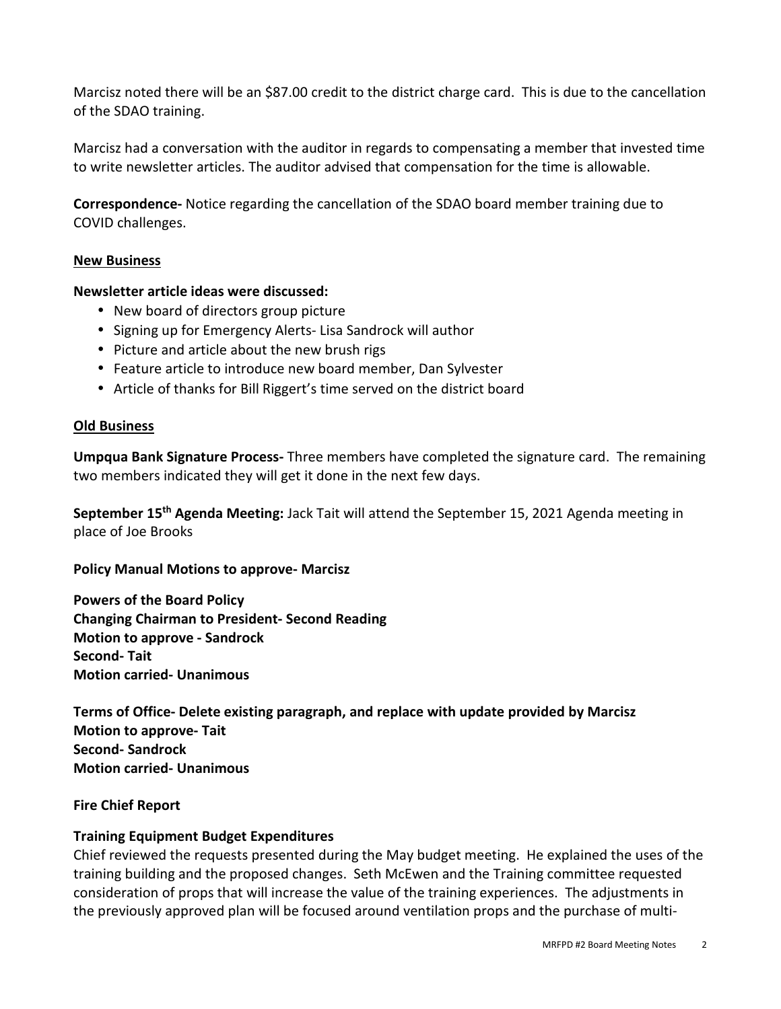Marcisz noted there will be an \$87.00 credit to the district charge card. This is due to the cancellation of the SDAO training.

Marcisz had a conversation with the auditor in regards to compensating a member that invested time to write newsletter articles. The auditor advised that compensation for the time is allowable.

**Correspondence-** Notice regarding the cancellation of the SDAO board member training due to COVID challenges.

#### **New Business**

# **Newsletter article ideas were discussed:**

- New board of directors group picture
- Signing up for Emergency Alerts- Lisa Sandrock will author
- Picture and article about the new brush rigs
- Feature article to introduce new board member, Dan Sylvester
- Article of thanks for Bill Riggert's time served on the district board

#### **Old Business**

**Umpqua Bank Signature Process-** Three members have completed the signature card. The remaining two members indicated they will get it done in the next few days.

**September 15th Agenda Meeting:** Jack Tait will attend the September 15, 2021 Agenda meeting in place of Joe Brooks

**Policy Manual Motions to approve- Marcisz** 

**Powers of the Board Policy Changing Chairman to President- Second Reading Motion to approve - Sandrock Second- Tait Motion carried- Unanimous** 

**Terms of Office- Delete existing paragraph, and replace with update provided by Marcisz Motion to approve- Tait Second- Sandrock Motion carried- Unanimous** 

**Fire Chief Report** 

# **Training Equipment Budget Expenditures**

Chief reviewed the requests presented during the May budget meeting. He explained the uses of the training building and the proposed changes. Seth McEwen and the Training committee requested consideration of props that will increase the value of the training experiences. The adjustments in the previously approved plan will be focused around ventilation props and the purchase of multi